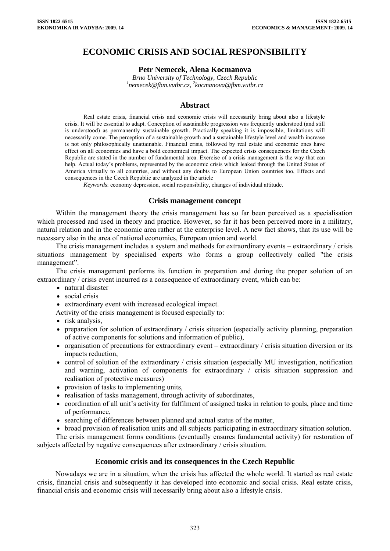# **ECONOMIC CRISIS AND SOCIAL RESPONSIBILITY**

## **Petr Nemecek, Alena Kocmanova**

*Brno University of Technology, Czech Republic 1 [nemecek@fbm.vutbr.cz,](mailto:nemecek@fbm.vutbr.cz) <sup>2</sup> kocmanova@fbm.vutbr.cz* 

## **Abstract**

Real estate crisis, financial crisis and economic crisis will necessarily bring about also a lifestyle crisis. It will be essential to adapt. Conception of sustainable progression was frequently understood (and still is understood) as permanently sustainable growth. Practically speaking it is impossible, limitations will necessarily come. The perception of a sustainable growth and a sustainable lifestyle level and wealth increase is not only philosophically unattainable. Financial crisis, followed by real estate and economic ones have effect on all economies and have a bold economical impact. The expected crisis consequences for the Czech Republic are stated in the number of fundamental area. Exercise of a crisis management is the way that can help. Actual today's problems, represented by the economic crisis which leaked through the United States of America virtually to all countries, and without any doubts to European Union countries too, Effects and consequences in the Czech Republic are analyzed in the article

*Keywords*: economy depression, social responsibility, changes of individual attitude.

#### **Crisis management concept**

Within the management theory the crisis management has so far been perceived as a specialisation which processed and used in theory and practice. However, so far it has been perceived more in a military, natural relation and in the economic area rather at the enterprise level. A new fact shows, that its use will be necessary also in the area of national economics, European union and world.

The crisis management includes a system and methods for extraordinary events – extraordinary / crisis situations management by specialised experts who forms a group collectively called "the crisis management".

The crisis management performs its function in preparation and during the proper solution of an extraordinary / crisis event incurred as a consequence of extraordinary event, which can be:

- natural disaster
- social crisis
- extraordinary event with increased ecological impact.

Activity of the crisis management is focused especially to:

- risk analysis.
- preparation for solution of extraordinary / crisis situation (especially activity planning, preparation of active components for solutions and information of public),
- organisation of precautions for extraordinary event extraordinary / crisis situation diversion or its impacts reduction,
- control of solution of the extraordinary / crisis situation (especially MU investigation, notification and warning, activation of components for extraordinary / crisis situation suppression and realisation of protective measures)
- provision of tasks to implementing units,
- realisation of tasks management, through activity of subordinates,
- coordination of all unit's activity for fulfilment of assigned tasks in relation to goals, place and time of performance,
- searching of differences between planned and actual status of the matter,
- broad provision of realisation units and all subjects participating in extraordinary situation solution.

The crisis management forms conditions (eventually ensures fundamental activity) for restoration of subjects affected by negative consequences after extraordinary / crisis situation.

## **Economic crisis and its consequences in the Czech Republic**

Nowadays we are in a situation, when the crisis has affected the whole world. It started as real estate crisis, financial crisis and subsequently it has developed into economic and social crisis. Real estate crisis, financial crisis and economic crisis will necessarily bring about also a lifestyle crisis.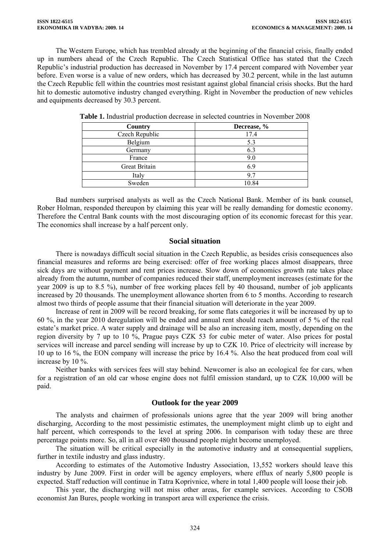The Western Europe, which has trembled already at the beginning of the financial crisis, finally ended up in numbers ahead of the Czech Republic. The Czech Statistical Office has stated that the Czech Republic's industrial production has decreased in November by 17.4 percent compared with November year before. Even worse is a value of new orders, which has decreased by 30.2 percent, while in the last autumn the Czech Republic fell within the countries most resistant against global financial crisis shocks. But the hard hit to domestic automotive industry changed everything. Right in November the production of new vehicles and equipments decreased by 30.3 percent.

| Country        | Decrease, % |
|----------------|-------------|
| Czech Republic | 17.4        |
| Belgium        | 5.3         |
| Germany        | 6.3         |
| France         | 9.0         |
| Great Britain  | 6.9         |
| Italy          | 97          |
| Sweden         | 10.84       |

|  |  |  |  |  | <b>Table 1.</b> Industrial production decrease in selected countries in November 2008 |
|--|--|--|--|--|---------------------------------------------------------------------------------------|
|--|--|--|--|--|---------------------------------------------------------------------------------------|

Bad numbers surprised analysts as well as the Czech National Bank. Member of its bank counsel, Rober Holman, responded thereupon by claiming this year will be really demanding for domestic economy. Therefore the Central Bank counts with the most discouraging option of its economic forecast for this year. The economics shall increase by a half percent only.

## **Social situation**

There is nowadays difficult social situation in the Czech Republic, as besides crisis consequences also financial measures and reforms are being exercised: offer of free working places almost disappears, three sick days are without payment and rent prices increase. Slow down of economics growth rate takes place already from the autumn, number of companies reduced their staff, unemployment increases (estimate for the year 2009 is up to 8.5 %), number of free working places fell by 40 thousand, number of job applicants increased by 20 thousands. The unemployment allowance shorten from 6 to 5 months. According to research almost two thirds of people assume that their financial situation will deteriorate in the year 2009.

Increase of rent in 2009 will be record breaking, for some flats categories it will be increased by up to 60 %, in the year 2010 deregulation will be ended and annual rent should reach amount of 5 % of the real estate's market price. A water supply and drainage will be also an increasing item, mostly, depending on the region diversity by 7 up to 10 %, Prague pays CZK 53 for cubic meter of water. Also prices for postal services will increase and parcel sending will increase by up to CZK 10. Price of electricity will increase by 10 up to 16 %, the EON company will increase the price by 16.4 %. Also the heat produced from coal will increase by 10 %.

Neither banks with services fees will stay behind. Newcomer is also an ecological fee for cars, when for a registration of an old car whose engine does not fulfil emission standard, up to CZK 10,000 will be paid.

## **Outlook for the year 2009**

The analysts and chairmen of professionals unions agree that the year 2009 will bring another discharging, According to the most pessimistic estimates, the unemployment might climb up to eight and half percent, which corresponds to the level at spring 2006. In comparison with today these are three percentage points more. So, all in all over 480 thousand people might become unemployed.

The situation will be critical especially in the automotive industry and at consequential suppliers, further in textile industry and glass industry.

According to estimates of the Automotive Industry Association, 13,552 workers should leave this industry by June 2009. First in order will be agency employers, where efflux of nearly 5,800 people is expected. Staff reduction will continue in Tatra Koprivnice, where in total 1,400 people will loose their job.

This year, the discharging will not miss other areas, for example services. According to CSOB economist Jan Bures, people working in transport area will experience the crisis.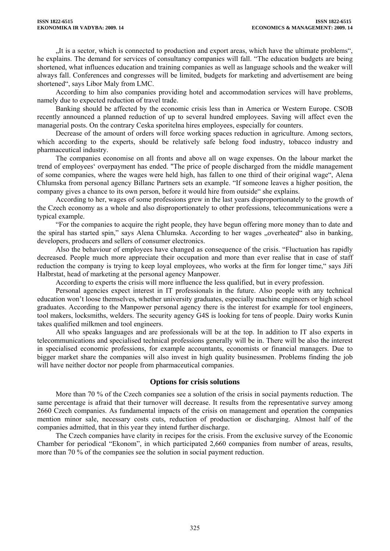"It is a sector, which is connected to production and export areas, which have the ultimate problems", he explains. The demand for services of consultancy companies will fall. "The education budgets are being shortened, what influences education and training companies as well as language schools and the weaker will always fall. Conferences and congresses will be limited, budgets for marketing and advertisement are being shortened", says Libor Maly from LMC.

According to him also companies providing hotel and accommodation services will have problems, namely due to expected reduction of travel trade.

Banking should be affected by the economic crisis less than in America or Western Europe. CSOB recently announced a planned reduction of up to several hundred employees. Saving will affect even the managerial posts. On the contrary Ceska sporitelna hires employees, especially for counters.

Decrease of the amount of orders will force working spaces reduction in agriculture. Among sectors, which according to the experts, should be relatively safe belong food industry, tobacco industry and pharmaceutical industry.

The companies economise on all fronts and above all on wage expenses. On the labour market the trend of employees' overpayment has ended. "The price of people discharged from the middle management of some companies, where the wages were held high, has fallen to one third of their original wage", Alena Chlumska from personal agency Billanc Partners sets an example. "If someone leaves a higher position, the company gives a chance to its own person, before it would hire from outside" she explains.

According to her, wages of some professions grew in the last years disproportionately to the growth of the Czech economy as a whole and also disproportionately to other professions, telecommunications were a typical example.

"For the companies to acquire the right people, they have begun offering more money than to date and the spiral has started spin," says Alena Chlumska. According to her wages "overheated" also in banking, developers, producers and sellers of consumer electronics.

Also the behaviour of employees have changed as consequence of the crisis. "Fluctuation has rapidly decreased. People much more appreciate their occupation and more than ever realise that in case of staff reduction the company is trying to keep loyal employees, who works at the firm for longer time," says Jiří Halbrstat, head of marketing at the personal agency Manpower.

According to experts the crisis will more influence the less qualified, but in every profession.

Personal agencies expect interest in IT professionals in the future. Also people with any technical education won't loose themselves, whether university graduates, especially machine engineers or high school graduates. According to the Manpower personal agency there is the interest for example for tool engineers, tool makers, locksmiths, welders. The security agency G4S is looking for tens of people. Dairy works Kunin takes qualified milkmen and tool engineers.

All who speaks languages and are professionals will be at the top. In addition to IT also experts in telecommunications and specialised technical professions generally will be in. There will be also the interest in specialised economic professions, for example accountants, economists or financial managers. Due to bigger market share the companies will also invest in high quality businessmen. Problems finding the job will have neither doctor nor people from pharmaceutical companies.

## **Options for crisis solutions**

More than 70 % of the Czech companies see a solution of the crisis in social payments reduction. The same percentage is afraid that their turnover will decrease. It results from the representative survey among 2660 Czech companies. As fundamental impacts of the crisis on management and operation the companies mention minor sale, necessary costs cuts, reduction of production or discharging. Almost half of the companies admitted, that in this year they intend further discharge.

The Czech companies have clarity in recipes for the crisis. From the exclusive survey of the Economic Chamber for periodical "Ekonom", in which participated 2,660 companies from number of areas, results, more than 70 % of the companies see the solution in social payment reduction.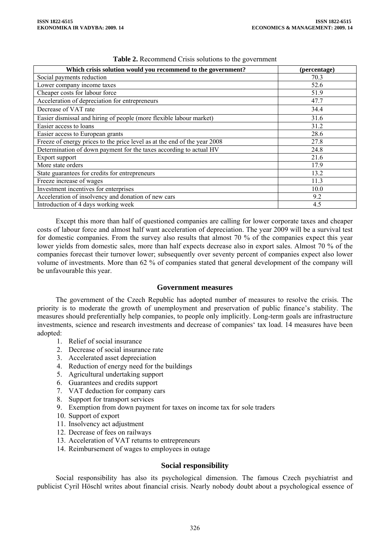| Which crisis solution would you recommend to the government?              | (percentage) |
|---------------------------------------------------------------------------|--------------|
| Social payments reduction                                                 | 70.3         |
| Lower company income taxes                                                | 52.6         |
| Cheaper costs for labour force                                            | 51.9         |
| Acceleration of depreciation for entrepreneurs                            | 47.7         |
| Decrease of VAT rate                                                      | 34.4         |
| Easier dismissal and hiring of people (more flexible labour market)       | 31.6         |
| Easier access to loans                                                    | 31.2         |
| Easier access to European grants                                          | 28.6         |
| Freeze of energy prices to the price level as at the end of the year 2008 | 27.8         |
| Determination of down payment for the taxes according to actual HV        | 24.8         |
| Export support                                                            | 21.6         |
| More state orders                                                         | 17.9         |
| State guarantees for credits for entrepreneurs                            | 13.2         |
| Freeze increase of wages                                                  | 11.3         |
| Investment incentives for enterprises                                     | 10.0         |
| Acceleration of insolvency and donation of new cars                       | 9.2          |
| Introduction of 4 days working week                                       | 4.5          |

| Table 2. Recommend Crisis solutions to the government |  |
|-------------------------------------------------------|--|
|-------------------------------------------------------|--|

Except this more than half of questioned companies are calling for lower corporate taxes and cheaper costs of labour force and almost half want acceleration of depreciation. The year 2009 will be a survival test for domestic companies. From the survey also results that almost 70 % of the companies expect this year lower yields from domestic sales, more than half expects decrease also in export sales. Almost 70 % of the companies forecast their turnover lower; subsequently over seventy percent of companies expect also lower volume of investments. More than 62 % of companies stated that general development of the company will be unfavourable this year.

## **Government measures**

The government of the Czech Republic has adopted number of measures to resolve the crisis. The priority is to moderate the growth of unemployment and preservation of public finance's stability. The measures should preferentially help companies, to people only implicitly. Long-term goals are infrastructure investments, science and research investments and decrease of companies' tax load. 14 measures have been adopted:

- 1. Relief of social insurance
- 2. Decrease of social insurance rate
- 3. Accelerated asset depreciation
- 4. Reduction of energy need for the buildings
- 5. Agricultural undertaking support
- 6. Guarantees and credits support
- 7. VAT deduction for company cars
- 8. Support for transport services
- 9. Exemption from down payment for taxes on income tax for sole traders
- 10. Support of export
- 11. Insolvency act adjustment
- 12. Decrease of fees on railways
- 13. Acceleration of VAT returns to entrepreneurs
- 14. Reimbursement of wages to employees in outage

## **Social responsibility**

Social responsibility has also its psychological dimension. The famous Czech psychiatrist and publicist Cyril Höschl writes about financial crisis. Nearly nobody doubt about a psychological essence of